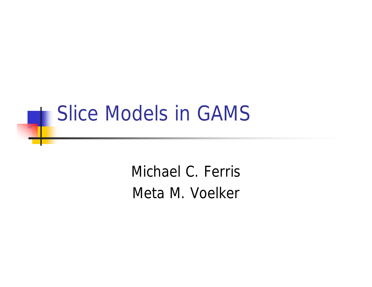#### Slice Models in GAMS

Michael C. Ferris Meta M. Voelker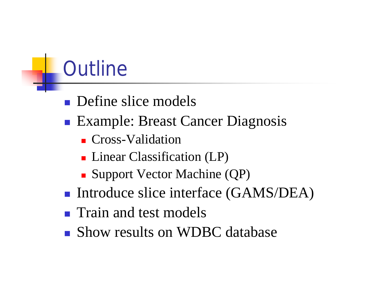# **Outline**

- $\blacksquare$  Define slice models
- Example: Breast Cancer Diagnosis
	- **n** Cross-Validation
	- Linear Classification (LP)
	- Support Vector Machine (QP)
- Introduce slice interface (GAMS/DEA)
- **n** Train and test models
- **n** Show results on WDBC database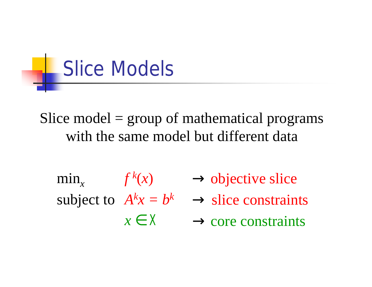

Slice model = group of mathematical programs with the same model but different data

$$
\min_{x} f^{k}(x)
$$
  
subject to  $A^{k}x = b^{k}$   
 $x \in X$ 

 $\rightarrow$  core constraints  $\rightarrow$  slice constraints  $\rightarrow$  objective slice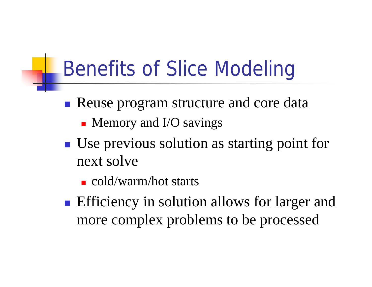# Benefits of Slice Modeling

- **Reuse program structure and core data** 
	- $\blacksquare$  Memory and I/O savings
- Use previous solution as starting point for next solve
	- $\blacksquare$  cold/warm/hot starts
- **Efficiency in solution allows for larger and** more complex problems to be processed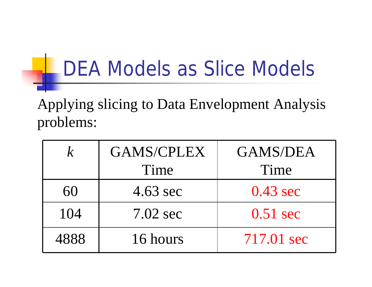## DEA Models as Slice Models

Applying slicing to Data Envelopment Analysis problems:

| $\mathcal{K}_{\cdot}$ | <b>GAMS/CPLEX</b>  | <b>GAMS/DEA</b>    |  |
|-----------------------|--------------------|--------------------|--|
|                       | Time               | Time               |  |
| 60                    | $4.63 \text{ sec}$ | $0.43 \text{ sec}$ |  |
| 104                   | $7.02 \text{ sec}$ | $0.51 \text{ sec}$ |  |
| 4888                  | 16 hours           | 717.01 sec         |  |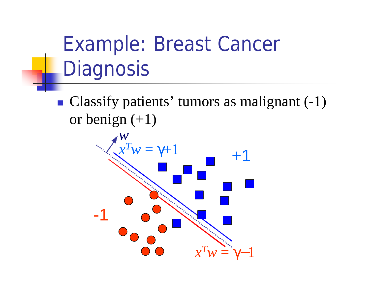# Example: Breast Cancer **Diagnosis**

• Classify patients' tumors as malignant  $(-1)$ or benign  $(+1)$ 

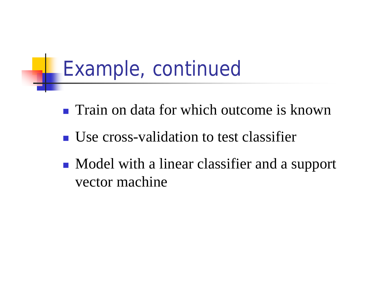# Example, continued

- **n** Train on data for which outcome is known
- <sup>n</sup> Use cross-validation to test classifier
- Model with a linear classifier and a support vector machine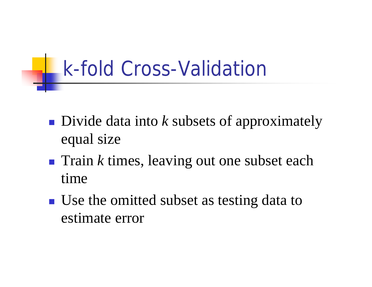## *k*-fold Cross-Validation

- **Divide data into k subsets of approximately** equal size
- Train *k* times, leaving out one subset each time
- Use the omitted subset as testing data to estimate error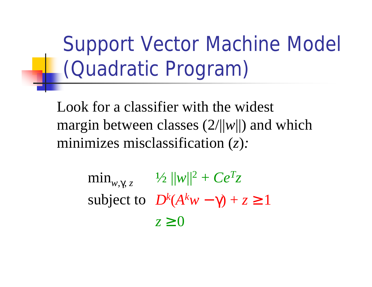Support Vector Machine Model (Quadratic Program)

Look for a classifier with the widest margin between classes (2/||*w*||) and which minimizes misclassification (*z*)*:*

> $z \geq 0$ subject to  $D^k(A^k w - \gamma) + z \ge 1$  $\min_{w, \gamma, z}$   $\frac{1}{2} ||w||^2 + Ce^T z$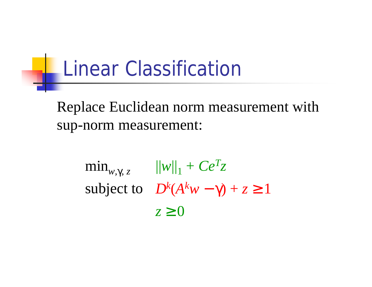#### Linear Classification

Replace Euclidean norm measurement with sup-norm measurement:

> $z \geq 0$ subject to  $D^k(A^k w - \gamma) + z \ge 1$  $\min_{w, \gamma, z}$   $\|w\|_1 + Ce^Tz$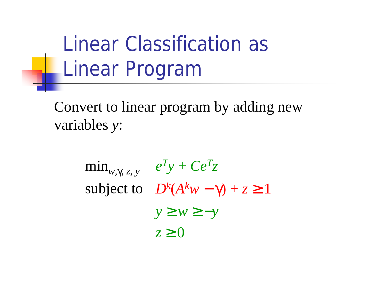Linear Classification as **Linear Program** 

Convert to linear program by adding new variables *y*:

> *y* ≥ *w* ≥ −*y*  $z \geq 0$ subject to  $D^k(A^k w - \gamma) + z \ge 1$  $\min_{w, \gamma, z, y} e^T y + C e^T z$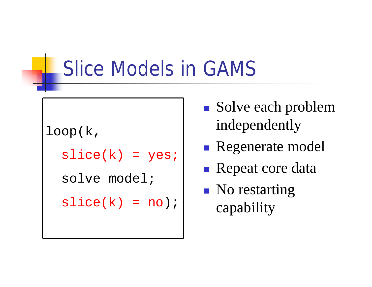### Slice Models in GAMS

```
loop(k,
slice(k) = yes;solve model;
slice(k) = no);
```
- Solve each problem independently
- **Regenerate model**
- **n** Repeat core data
- $\blacksquare$  No restarting capability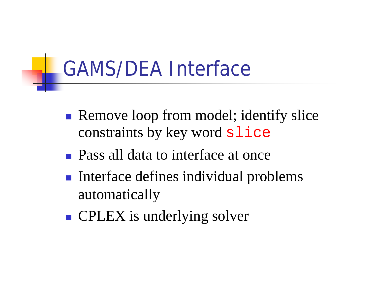# GAMS/DEA Interface

- **Remove loop from model; identify slice** constraints by key word slice
- **n** Pass all data to interface at once
- Interface defines individual problems automatically
- **n** CPLEX is underlying solver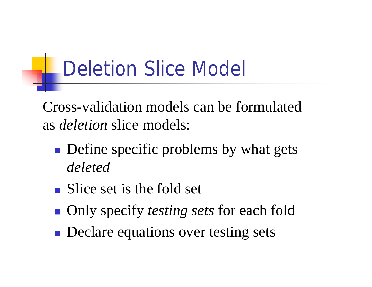# Deletion Slice Model

Cross-validation models can be formulated as *deletion* slice models:

- **n** Define specific problems by what gets *deleted*
- $\blacksquare$  Slice set is the fold set
- Only specify *testing sets* for each fold
- **n** Declare equations over testing sets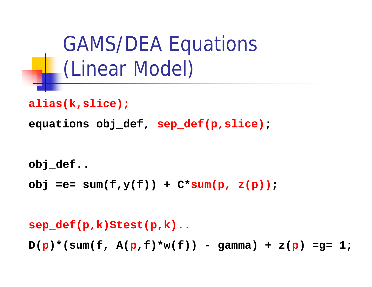GAMS/DEA Equations (Linear Model)

```
alias(k,slice);
```
**equations obj\_def, sep\_def(p,slice);**

```
obj_def..
```

```
obj =e= sum(f,y(f)) + C*sum(p, z(p));
```
**sep\_def(p,k)\$test(p,k)..**  $D(p) * (sum(f, A(p, f) * w(f)) - gamma) + z(p) = 1;$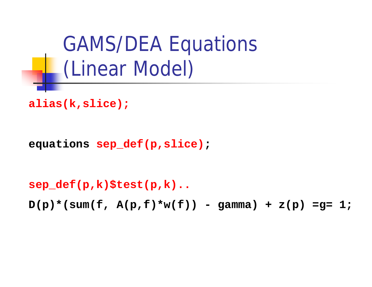GAMS/DEA Equations (Linear Model)

```
alias(k,slice);
```

```
equations sep_def(p,slice);
```
**sep\_def(p,k)\$test(p,k)..**

**D(p)\*(sum(f, A(p,f)\*w(f)) - gamma) + z(p) =g= 1;**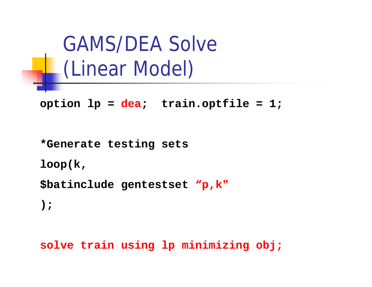GAMS/DEA Solve (Linear Model)

**option lp = dea; train.optfile = 1;**

**\*Generate testing sets**

**loop(k,**

**\$batinclude gentestset "p,k"**

**);**

**solve train using lp minimizing obj;**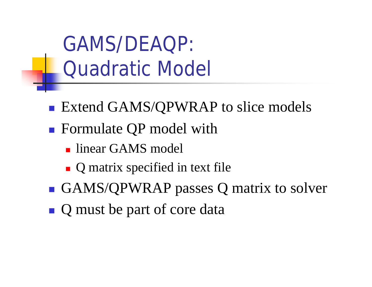GAMS/DEAQP: Quadratic Model

- Extend GAMS/QPWRAP to slice models
- Formulate QP model with
	- linear GAMS model
	- $\blacksquare$  Q matrix specified in text file
- GAMS/QPWRAP passes Q matrix to solver
- **Q** must be part of core data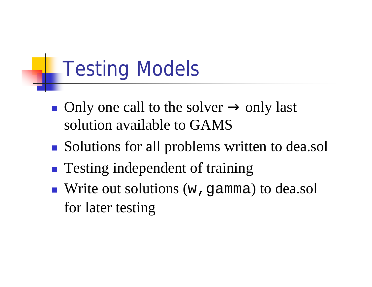# Testing Models

- Only one call to the solver  $\rightarrow$  only last solution available to GAMS
- Solutions for all problems written to dea.sol
- **n** Testing independent of training
- $\blacksquare$  Write out solutions (w, gamma) to dea.sol for later testing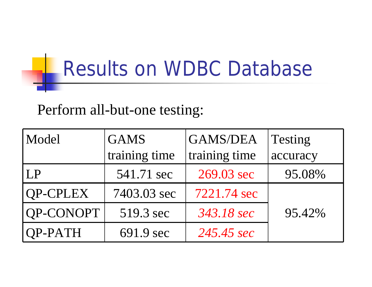# Results on WDBC Database

#### Perform all-but-one testing:

| Model     | <b>GAMS</b>   | <b>GAMS/DEA</b> | Testing  |
|-----------|---------------|-----------------|----------|
|           | training time | training time   | accuracy |
| LP        | 541.71 sec    | 269.03 sec      | 95.08%   |
| QP-CPLEX  | 7403.03 sec   | 7221.74 sec     |          |
| QP-CONOPT | 519.3 sec     | 343.18 sec      | 95.42%   |
| $QP-PATH$ | 691.9 sec     | 245.45 sec      |          |